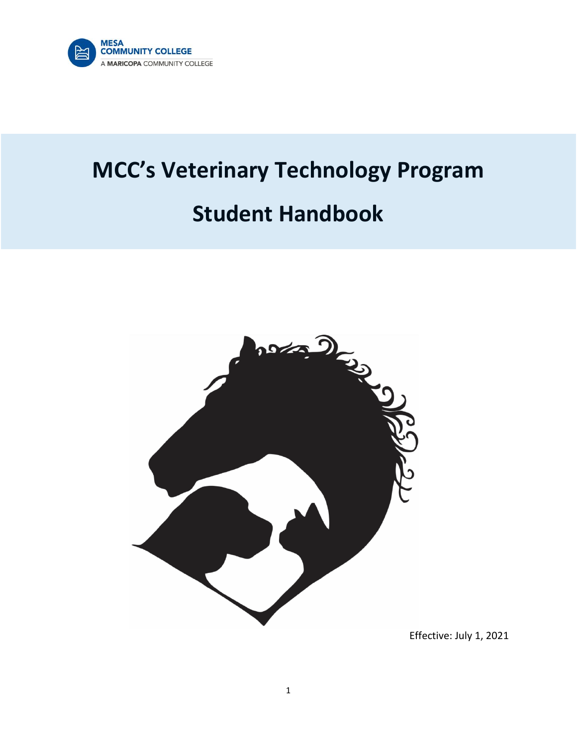

# **MCC's Veterinary Technology Program Student Handbook**



Effective: July 1, 2021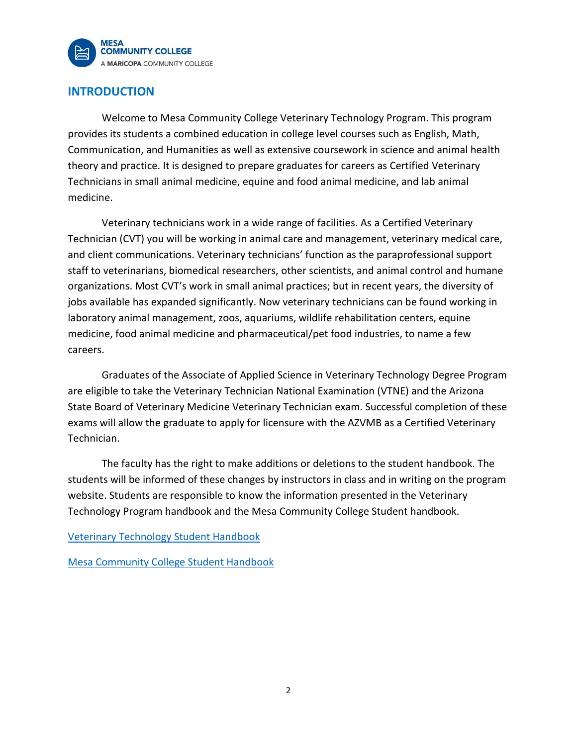

# **INTRODUCTION**

Welcome to Mesa Community College Veterinary Technology Program. This program provides its students a combined education in college level courses such as English, Math, Communication, and Humanities as well as extensive coursework in science and animal health theory and practice. It is designed to prepare graduates for careers as Certified Veterinary Technicians in small animal medicine, equine and food animal medicine, and lab animal medicine.

Veterinary technicians work in a wide range of facilities. As a Certified Veterinary Technician (CVT) you will be working in animal care and management, veterinary medical care, and client communications. Veterinary technicians' function as the paraprofessional support staff to veterinarians, biomedical researchers, other scientists, and animal control and humane organizations. Most CVT's work in small animal practices; but in recent years, the diversity of jobs available has expanded significantly. Now veterinary technicians can be found working in laboratory animal management, zoos, aquariums, wildlife rehabilitation centers, equine medicine, food animal medicine and pharmaceutical/pet food industries, to name a few careers.

Graduates of the Associate of Applied Science in Veterinary Technology Degree Program are eligible to take the Veterinary Technician National Examination (VTNE) and the Arizona State Board of Veterinary Medicine Veterinary Technician exam. Successful completion of these exams will allow the graduate to apply for licensure with the AZVMB as a Certified Veterinary Technician.

The faculty has the right to make additions or deletions to the student handbook. The students will be informed of these changes by instructors in class and in writing on the program website. Students are responsible to know the information presented in the Veterinary Technology Program handbook and the Mesa Community College Student handbook.

[Veterinary Technology Student Handbook](http://www.mesacc.edu/departments/applied-sciences-and-technology/veterinary-technology/program-admission) 

[Mesa Community College Student Handbook](http://www.mesacc.edu/sites/default/files/pages/section/students/student-life/MCC%20Student%20Handbook%202014-2015-web.)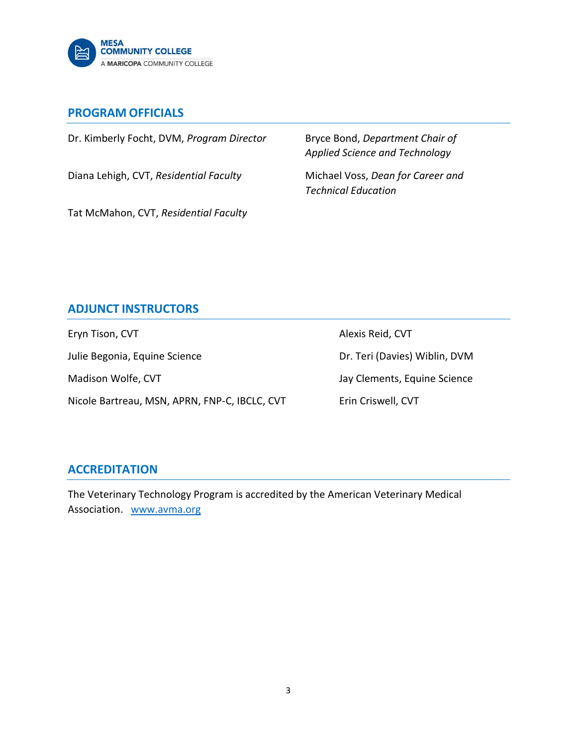

## **PROGRAM OFFICIALS**

Dr. Kimberly Focht, DVM, *Program Director* Bryce Bond, *Department Chair of* 

Diana Lehigh, CVT, *Residential Faculty* Michael Voss, *Dean for Career and* 

*Applied Science and Technology*

*Technical Education*

Tat McMahon, CVT, *Residential Faculty*

# **ADJUNCT INSTRUCTORS**

Eryn Tison, CVT and The CVT and Text Alexis Reid, CVT Julie Begonia, Equine Science **Dr. Teri (Davies) Wiblin, DVM** Madison Wolfe, CVT and Jay Clements, Equine Science Nicole Bartreau, MSN, APRN, FNP-C, IBCLC, CVT Erin Criswell, CVT

# **ACCREDITATION**

The Veterinary Technology Program is accredited by the American Veterinary Medical Association. [www.avma.org](about:blank)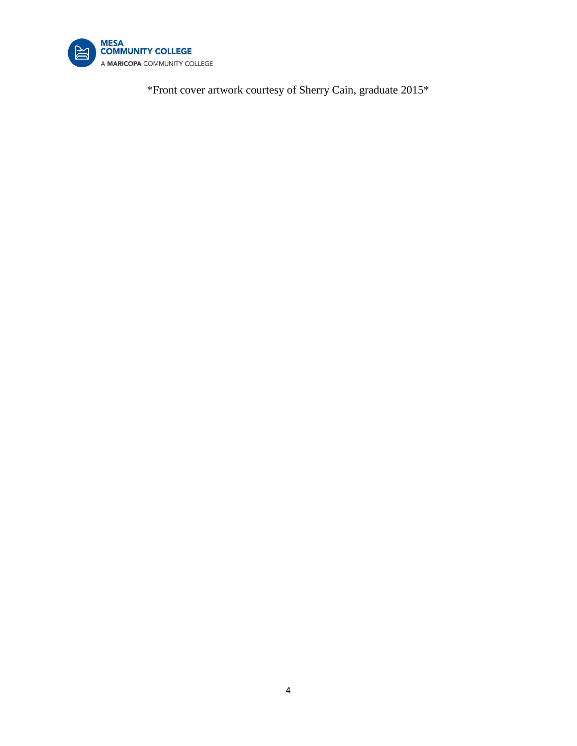

\*Front cover artwork courtesy of Sherry Cain, graduate 2015\*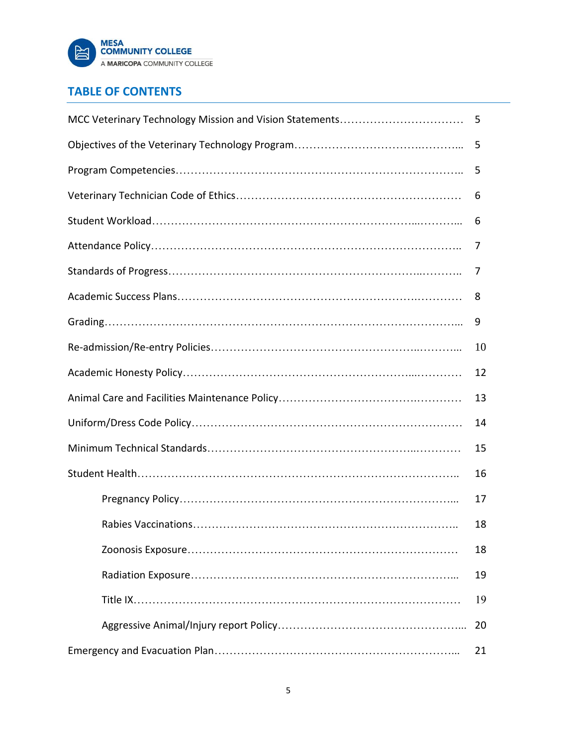

# **TABLE OF CONTENTS**

|  | 5  |  |  |
|--|----|--|--|
|  | 5  |  |  |
|  | 5  |  |  |
|  | 6  |  |  |
|  | 6  |  |  |
|  | 7  |  |  |
|  | 7  |  |  |
|  | 8  |  |  |
|  | 9  |  |  |
|  | 10 |  |  |
|  | 12 |  |  |
|  | 13 |  |  |
|  | 14 |  |  |
|  |    |  |  |
|  | 16 |  |  |
|  | 17 |  |  |
|  | 18 |  |  |
|  | 18 |  |  |
|  | 19 |  |  |
|  | 19 |  |  |
|  | 20 |  |  |
|  | 21 |  |  |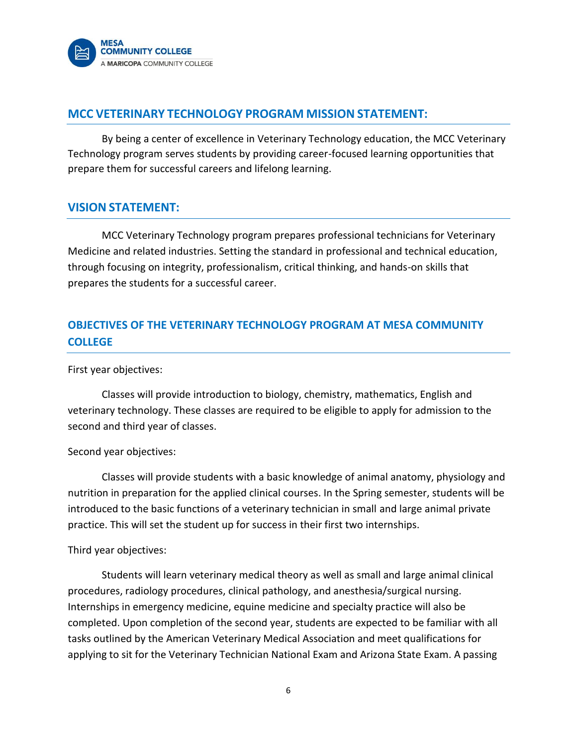

## **MCC VETERINARY TECHNOLOGY PROGRAM MISSION STATEMENT:**

By being a center of excellence in Veterinary Technology education, the MCC Veterinary Technology program serves students by providing career-focused learning opportunities that prepare them for successful careers and lifelong learning.

## **VISION STATEMENT:**

MCC Veterinary Technology program prepares professional technicians for Veterinary Medicine and related industries. Setting the standard in professional and technical education, through focusing on integrity, professionalism, critical thinking, and hands-on skills that prepares the students for a successful career.

# **OBJECTIVES OF THE VETERINARY TECHNOLOGY PROGRAM AT MESA COMMUNITY COLLEGE**

First year objectives:

Classes will provide introduction to biology, chemistry, mathematics, English and veterinary technology. These classes are required to be eligible to apply for admission to the second and third year of classes.

#### Second year objectives:

Classes will provide students with a basic knowledge of animal anatomy, physiology and nutrition in preparation for the applied clinical courses. In the Spring semester, students will be introduced to the basic functions of a veterinary technician in small and large animal private practice. This will set the student up for success in their first two internships.

#### Third year objectives:

Students will learn veterinary medical theory as well as small and large animal clinical procedures, radiology procedures, clinical pathology, and anesthesia/surgical nursing. Internships in emergency medicine, equine medicine and specialty practice will also be completed. Upon completion of the second year, students are expected to be familiar with all tasks outlined by the American Veterinary Medical Association and meet qualifications for applying to sit for the Veterinary Technician National Exam and Arizona State Exam. A passing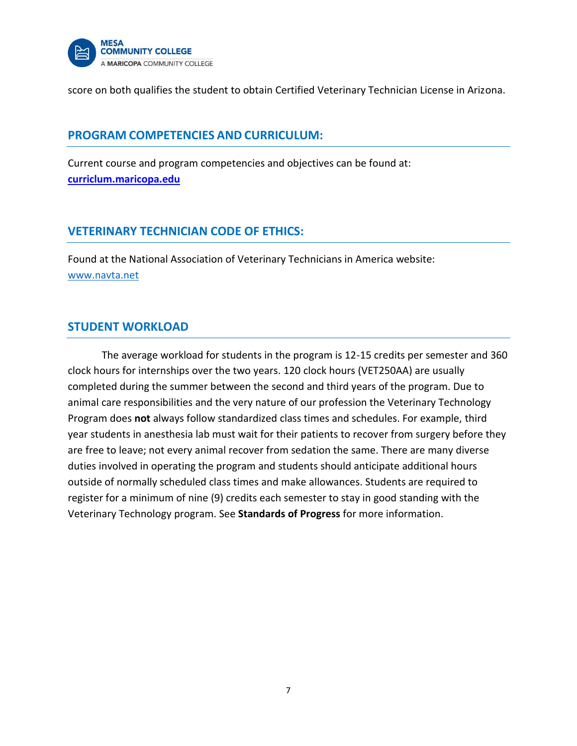

score on both qualifies the student to obtain Certified Veterinary Technician License in Arizona.

## **PROGRAM COMPETENCIES AND CURRICULUM:**

Current course and program competencies and objectives can be found at: **[curriclum.maricopa.edu](file:///F:/1%20MCC%20Vet%20Tech%20program/Vet%20Tech%20Policies/Current%20Handbook/curriculum.maricopa.edu)**

# **VETERINARY TECHNICIAN CODE OF ETHICS:**

Found at the National Association of Veterinary Technicians in America website: [www.navta.net](http://www.navta.net/)

## **STUDENT WORKLOAD**

The average workload for students in the program is 12-15 credits per semester and 360 clock hours for internships over the two years. 120 clock hours (VET250AA) are usually completed during the summer between the second and third years of the program. Due to animal care responsibilities and the very nature of our profession the Veterinary Technology Program does **not** always follow standardized class times and schedules. For example, third year students in anesthesia lab must wait for their patients to recover from surgery before they are free to leave; not every animal recover from sedation the same. There are many diverse duties involved in operating the program and students should anticipate additional hours outside of normally scheduled class times and make allowances. Students are required to register for a minimum of nine (9) credits each semester to stay in good standing with the Veterinary Technology program. See **Standards of Progress** for more information.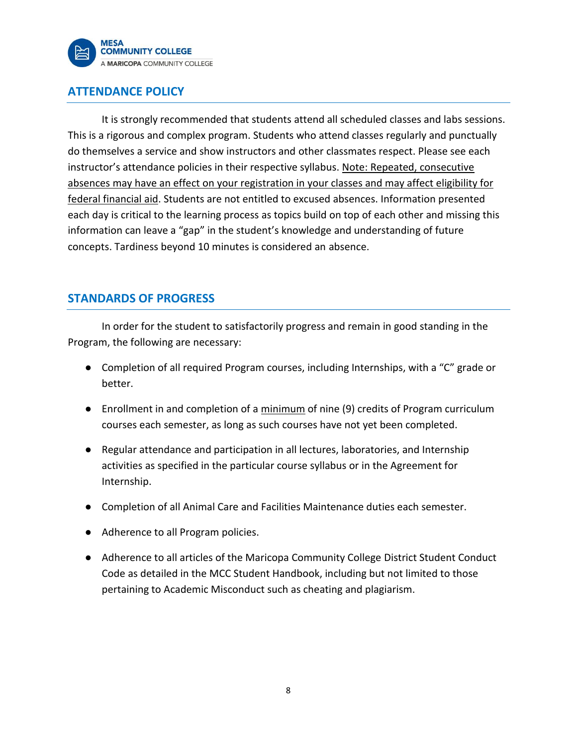

# **ATTENDANCE POLICY**

It is strongly recommended that students attend all scheduled classes and labs sessions. This is a rigorous and complex program. Students who attend classes regularly and punctually do themselves a service and show instructors and other classmates respect. Please see each instructor's attendance policies in their respective syllabus. Note: Repeated, consecutive absences may have an effect on your registration in your classes and may affect eligibility for federal financial aid. Students are not entitled to excused absences. Information presented each day is critical to the learning process as topics build on top of each other and missing this information can leave a "gap" in the student's knowledge and understanding of future concepts. Tardiness beyond 10 minutes is considered an absence.

# **STANDARDS OF PROGRESS**

In order for the student to satisfactorily progress and remain in good standing in the Program, the following are necessary:

- Completion of all required Program courses, including Internships, with a "C" grade or better.
- Enrollment in and completion of a minimum of nine (9) credits of Program curriculum courses each semester, as long as such courses have not yet been completed.
- Regular attendance and participation in all lectures, laboratories, and Internship activities as specified in the particular course syllabus or in the Agreement for Internship.
- Completion of all Animal Care and Facilities Maintenance duties each semester.
- Adherence to all Program policies.
- Adherence to all articles of the Maricopa Community College District Student Conduct Code as detailed in the MCC Student Handbook, including but not limited to those pertaining to Academic Misconduct such as cheating and plagiarism.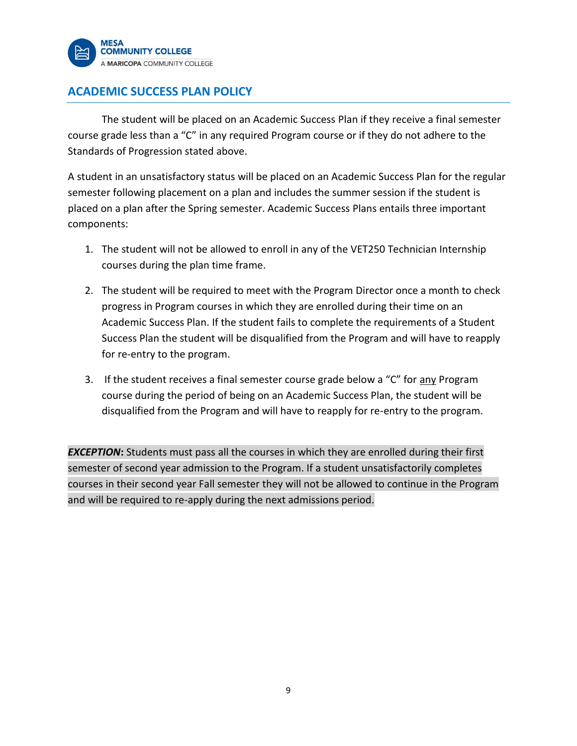

# **ACADEMIC SUCCESS PLAN POLICY**

The student will be placed on an Academic Success Plan if they receive a final semester course grade less than a "C" in any required Program course or if they do not adhere to the Standards of Progression stated above.

A student in an unsatisfactory status will be placed on an Academic Success Plan for the regular semester following placement on a plan and includes the summer session if the student is placed on a plan after the Spring semester. Academic Success Plans entails three important components:

- 1. The student will not be allowed to enroll in any of the VET250 Technician Internship courses during the plan time frame.
- 2. The student will be required to meet with the Program Director once a month to check progress in Program courses in which they are enrolled during their time on an Academic Success Plan. If the student fails to complete the requirements of a Student Success Plan the student will be disqualified from the Program and will have to reapply for re-entry to the program.
- 3. If the student receives a final semester course grade below a "C" for any Program course during the period of being on an Academic Success Plan, the student will be disqualified from the Program and will have to reapply for re-entry to the program.

*EXCEPTION***:** Students must pass all the courses in which they are enrolled during their first semester of second year admission to the Program. If a student unsatisfactorily completes courses in their second year Fall semester they will not be allowed to continue in the Program and will be required to re-apply during the next admissions period.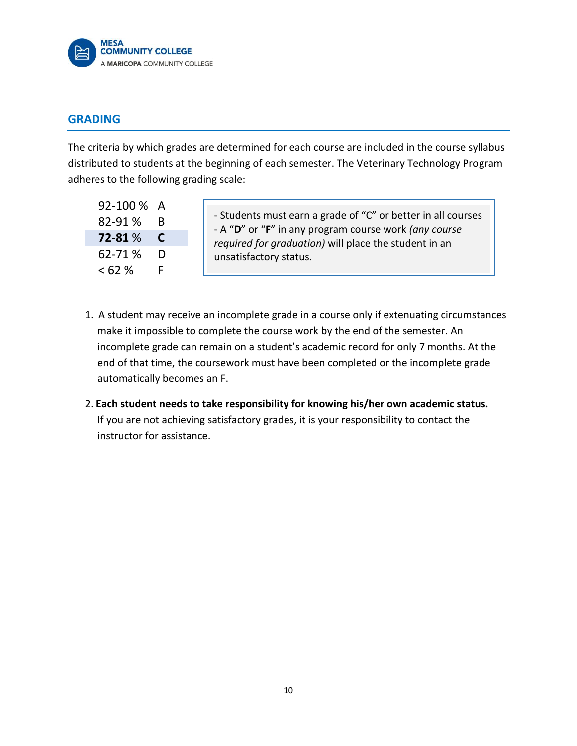

## **GRADING**

The criteria by which grades are determined for each course are included in the course syllabus distributed to students at the beginning of each semester. The Veterinary Technology Program adheres to the following grading scale:

| 92-100 % | А |
|----------|---|
| 82-91%   | В |
| 72-81 %  | C |
| 62-71%   | D |
| <62%     | F |

- Students must earn a grade of "C" or better in all courses - A "**D**" or "**F**" in any program course work *(any course required for graduation)* will place the student in an unsatisfactory status.

- 1. A student may receive an incomplete grade in a course only if extenuating circumstances make it impossible to complete the course work by the end of the semester. An incomplete grade can remain on a student's academic record for only 7 months. At the end of that time, the coursework must have been completed or the incomplete grade automatically becomes an F.
- 2. **Each student needs to take responsibility for knowing his/her own academic status.**  If you are not achieving satisfactory grades, it is your responsibility to contact the instructor for assistance.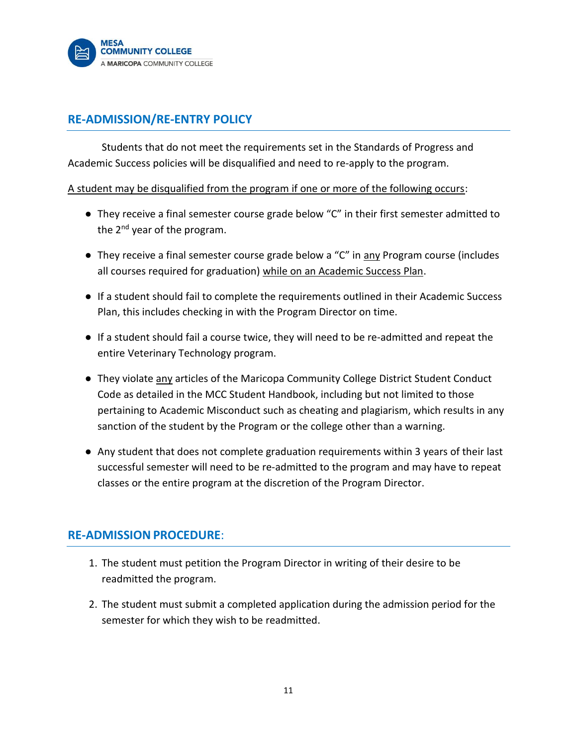

# **RE-ADMISSION/RE-ENTRY POLICY**

Students that do not meet the requirements set in the Standards of Progress and Academic Success policies will be disqualified and need to re-apply to the program.

A student may be disqualified from the program if one or more of the following occurs:

- They receive a final semester course grade below "C" in their first semester admitted to the  $2^{nd}$  year of the program.
- They receive a final semester course grade below a "C" in any Program course (includes all courses required for graduation) while on an Academic Success Plan.
- If a student should fail to complete the requirements outlined in their Academic Success Plan, this includes checking in with the Program Director on time.
- If a student should fail a course twice, they will need to be re-admitted and repeat the entire Veterinary Technology program.
- They violate any articles of the Maricopa Community College District Student Conduct Code as detailed in the MCC Student Handbook, including but not limited to those pertaining to Academic Misconduct such as cheating and plagiarism, which results in any sanction of the student by the Program or the college other than a warning.
- Any student that does not complete graduation requirements within 3 years of their last successful semester will need to be re-admitted to the program and may have to repeat classes or the entire program at the discretion of the Program Director.

# **RE-ADMISSION PROCEDURE**:

- 1. The student must petition the Program Director in writing of their desire to be readmitted the program.
- 2. The student must submit a completed application during the admission period for the semester for which they wish to be readmitted.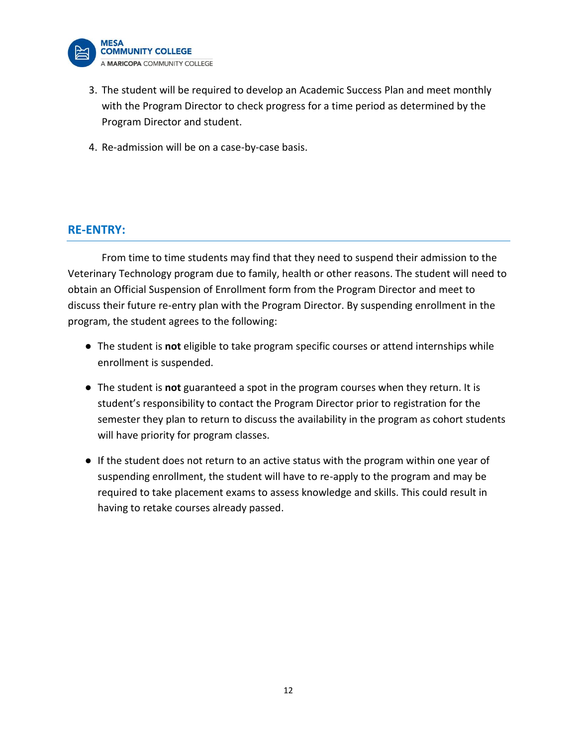

- 3. The student will be required to develop an Academic Success Plan and meet monthly with the Program Director to check progress for a time period as determined by the Program Director and student.
- 4. Re-admission will be on a case-by-case basis.

## **RE-ENTRY:**

From time to time students may find that they need to suspend their admission to the Veterinary Technology program due to family, health or other reasons. The student will need to obtain an Official Suspension of Enrollment form from the Program Director and meet to discuss their future re-entry plan with the Program Director. By suspending enrollment in the program, the student agrees to the following:

- The student is **not** eligible to take program specific courses or attend internships while enrollment is suspended.
- The student is **not** guaranteed a spot in the program courses when they return. It is student's responsibility to contact the Program Director prior to registration for the semester they plan to return to discuss the availability in the program as cohort students will have priority for program classes.
- If the student does not return to an active status with the program within one year of suspending enrollment, the student will have to re-apply to the program and may be required to take placement exams to assess knowledge and skills. This could result in having to retake courses already passed.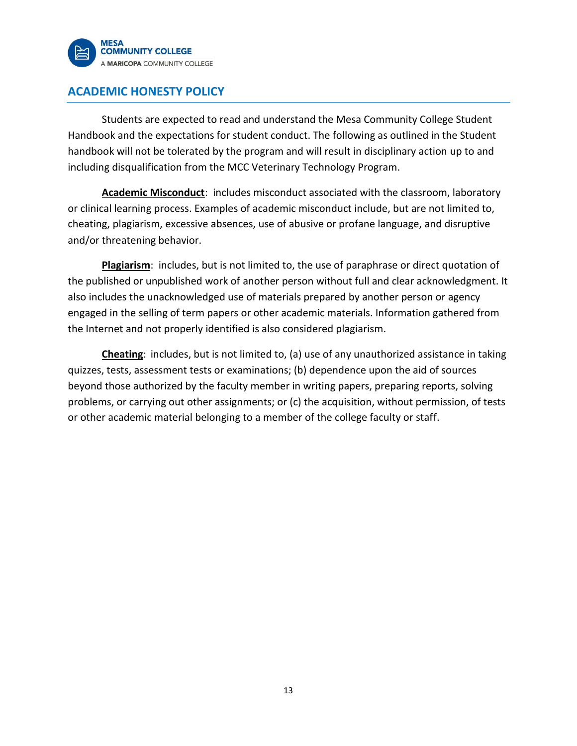

# **ACADEMIC HONESTY POLICY**

Students are expected to read and understand the Mesa Community College Student Handbook and the expectations for student conduct. The following as outlined in the Student handbook will not be tolerated by the program and will result in disciplinary action up to and including disqualification from the MCC Veterinary Technology Program.

**Academic Misconduct**: includes misconduct associated with the classroom, laboratory or clinical learning process. Examples of academic misconduct include, but are not limited to, cheating, plagiarism, excessive absences, use of abusive or profane language, and disruptive and/or threatening behavior.

**Plagiarism**: includes, but is not limited to, the use of paraphrase or direct quotation of the published or unpublished work of another person without full and clear acknowledgment. It also includes the unacknowledged use of materials prepared by another person or agency engaged in the selling of term papers or other academic materials. Information gathered from the Internet and not properly identified is also considered plagiarism.

**Cheating**: includes, but is not limited to, (a) use of any unauthorized assistance in taking quizzes, tests, assessment tests or examinations; (b) dependence upon the aid of sources beyond those authorized by the faculty member in writing papers, preparing reports, solving problems, or carrying out other assignments; or (c) the acquisition, without permission, of tests or other academic material belonging to a member of the college faculty or staff.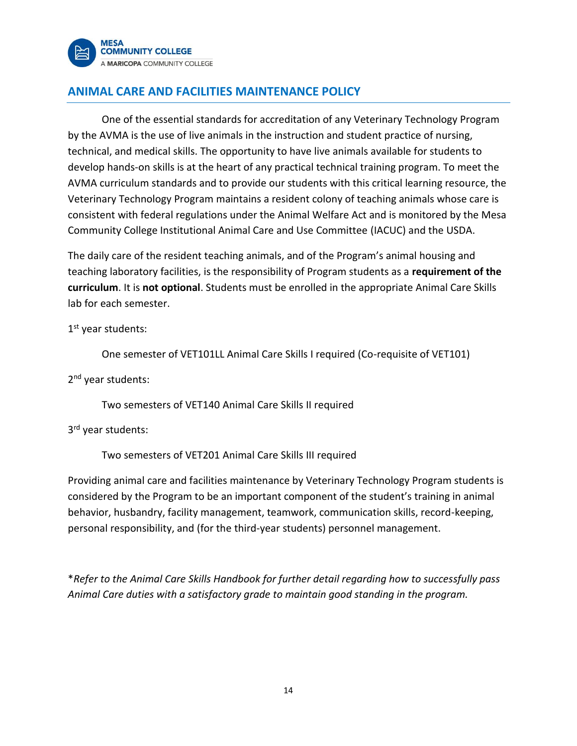

# **ANIMAL CARE AND FACILITIES MAINTENANCE POLICY**

One of the essential standards for accreditation of any Veterinary Technology Program by the AVMA is the use of live animals in the instruction and student practice of nursing, technical, and medical skills. The opportunity to have live animals available for students to develop hands-on skills is at the heart of any practical technical training program. To meet the AVMA curriculum standards and to provide our students with this critical learning resource, the Veterinary Technology Program maintains a resident colony of teaching animals whose care is consistent with federal regulations under the Animal Welfare Act and is monitored by the Mesa Community College Institutional Animal Care and Use Committee (IACUC) and the USDA.

The daily care of the resident teaching animals, and of the Program's animal housing and teaching laboratory facilities, is the responsibility of Program students as a **requirement of the curriculum**. It is **not optional**. Students must be enrolled in the appropriate Animal Care Skills lab for each semester.

1st year students:

One semester of VET101LL Animal Care Skills I required (Co-requisite of VET101)

2<sup>nd</sup> year students:

Two semesters of VET140 Animal Care Skills II required

3<sup>rd</sup> year students:

Two semesters of VET201 Animal Care Skills III required

Providing animal care and facilities maintenance by Veterinary Technology Program students is considered by the Program to be an important component of the student's training in animal behavior, husbandry, facility management, teamwork, communication skills, record-keeping, personal responsibility, and (for the third-year students) personnel management.

\**Refer to the Animal Care Skills Handbook for further detail regarding how to successfully pass Animal Care duties with a satisfactory grade to maintain good standing in the program.*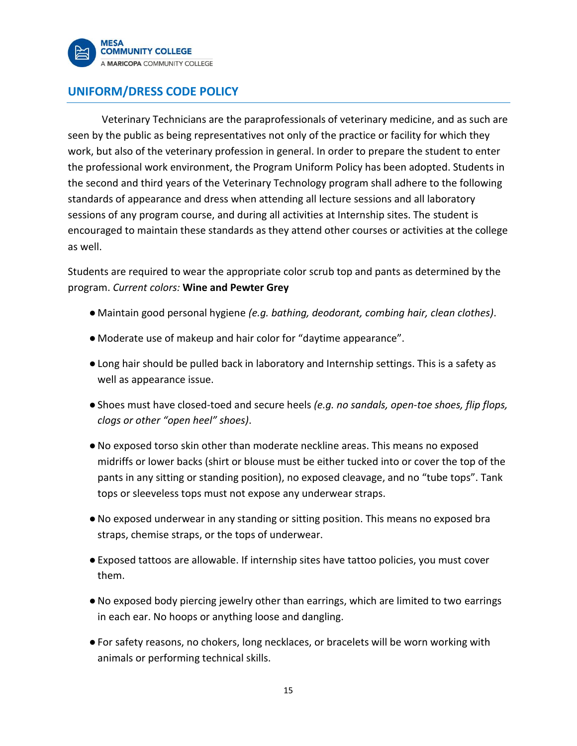

# **UNIFORM/DRESS CODE POLICY**

Veterinary Technicians are the paraprofessionals of veterinary medicine, and as such are seen by the public as being representatives not only of the practice or facility for which they work, but also of the veterinary profession in general. In order to prepare the student to enter the professional work environment, the Program Uniform Policy has been adopted. Students in the second and third years of the Veterinary Technology program shall adhere to the following standards of appearance and dress when attending all lecture sessions and all laboratory sessions of any program course, and during all activities at Internship sites. The student is encouraged to maintain these standards as they attend other courses or activities at the college as well.

Students are required to wear the appropriate color scrub top and pants as determined by the program. *Current colors:* **Wine and Pewter Grey**

- Maintain good personal hygiene *(e.g. bathing, deodorant, combing hair, clean clothes)*.
- Moderate use of makeup and hair color for "daytime appearance".
- ●Long hair should be pulled back in laboratory and Internship settings. This is a safety as well as appearance issue.
- ●Shoes must have closed-toed and secure heels *(e.g. no sandals, open-toe shoes, flip flops, clogs or other "open heel" shoes)*.
- ●No exposed torso skin other than moderate neckline areas. This means no exposed midriffs or lower backs (shirt or blouse must be either tucked into or cover the top of the pants in any sitting or standing position), no exposed cleavage, and no "tube tops". Tank tops or sleeveless tops must not expose any underwear straps.
- ●No exposed underwear in any standing or sitting position. This means no exposed bra straps, chemise straps, or the tops of underwear.
- ●Exposed tattoos are allowable. If internship sites have tattoo policies, you must cover them.
- ●No exposed body piercing jewelry other than earrings, which are limited to two earrings in each ear. No hoops or anything loose and dangling.
- ●For safety reasons, no chokers, long necklaces, or bracelets will be worn working with animals or performing technical skills.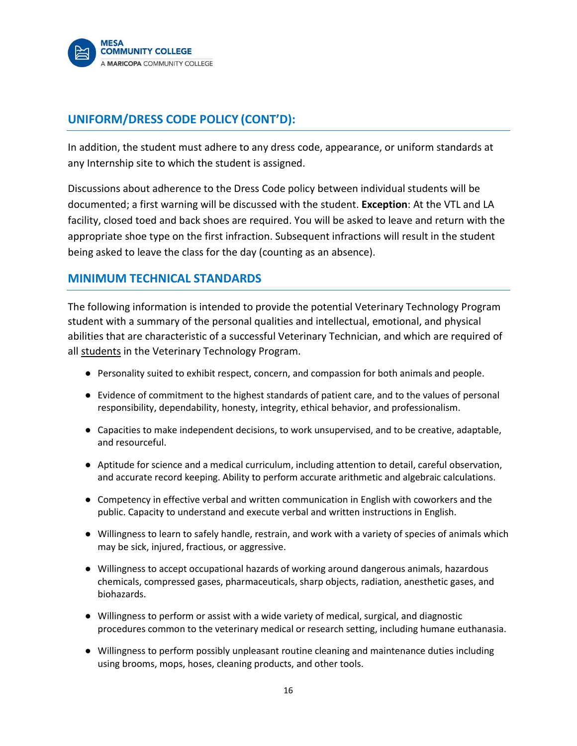

# **UNIFORM/DRESS CODE POLICY (CONT'D):**

In addition, the student must adhere to any dress code, appearance, or uniform standards at any Internship site to which the student is assigned.

Discussions about adherence to the Dress Code policy between individual students will be documented; a first warning will be discussed with the student. **Exception**: At the VTL and LA facility, closed toed and back shoes are required. You will be asked to leave and return with the appropriate shoe type on the first infraction. Subsequent infractions will result in the student being asked to leave the class for the day (counting as an absence).

# **MINIMUM TECHNICAL STANDARDS**

The following information is intended to provide the potential Veterinary Technology Program student with a summary of the personal qualities and intellectual, emotional, and physical abilities that are characteristic of a successful Veterinary Technician, and which are required of all students in the Veterinary Technology Program.

- Personality suited to exhibit respect, concern, and compassion for both animals and people.
- Evidence of commitment to the highest standards of patient care, and to the values of personal responsibility, dependability, honesty, integrity, ethical behavior, and professionalism.
- Capacities to make independent decisions, to work unsupervised, and to be creative, adaptable, and resourceful.
- Aptitude for science and a medical curriculum, including attention to detail, careful observation, and accurate record keeping. Ability to perform accurate arithmetic and algebraic calculations.
- Competency in effective verbal and written communication in English with coworkers and the public. Capacity to understand and execute verbal and written instructions in English.
- Willingness to learn to safely handle, restrain, and work with a variety of species of animals which may be sick, injured, fractious, or aggressive.
- Willingness to accept occupational hazards of working around dangerous animals, hazardous chemicals, compressed gases, pharmaceuticals, sharp objects, radiation, anesthetic gases, and biohazards.
- Willingness to perform or assist with a wide variety of medical, surgical, and diagnostic procedures common to the veterinary medical or research setting, including humane euthanasia.
- Willingness to perform possibly unpleasant routine cleaning and maintenance duties including using brooms, mops, hoses, cleaning products, and other tools.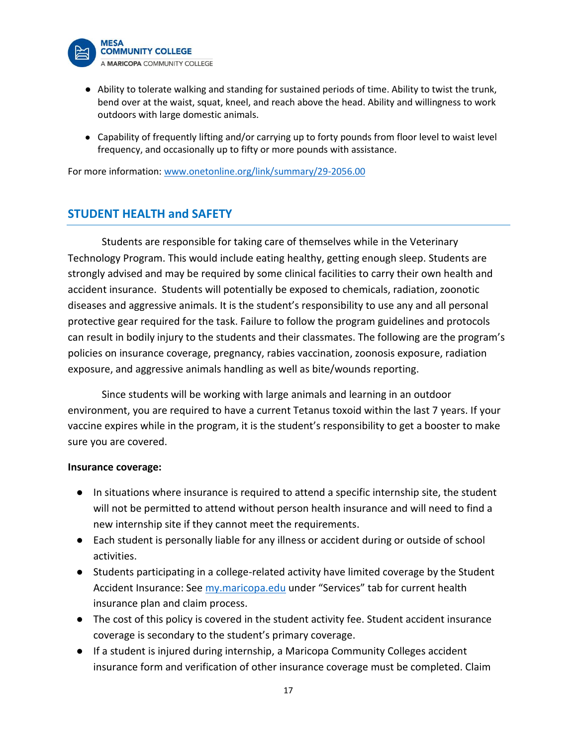

- Ability to tolerate walking and standing for sustained periods of time. Ability to twist the trunk, bend over at the waist, squat, kneel, and reach above the head. Ability and willingness to work outdoors with large domestic animals.
- Capability of frequently lifting and/or carrying up to forty pounds from floor level to waist level frequency, and occasionally up to fifty or more pounds with assistance.

For more information: [www.onetonline.org/link/summary/29-2056.00](http://www.onetonline.org/link/summary/29-2056.00)

## **STUDENT HEALTH and SAFETY**

Students are responsible for taking care of themselves while in the Veterinary Technology Program. This would include eating healthy, getting enough sleep. Students are strongly advised and may be required by some clinical facilities to carry their own health and accident insurance. Students will potentially be exposed to chemicals, radiation, zoonotic diseases and aggressive animals. It is the student's responsibility to use any and all personal protective gear required for the task. Failure to follow the program guidelines and protocols can result in bodily injury to the students and their classmates. The following are the program's policies on insurance coverage, pregnancy, rabies vaccination, zoonosis exposure, radiation exposure, and aggressive animals handling as well as bite/wounds reporting.

Since students will be working with large animals and learning in an outdoor environment, you are required to have a current Tetanus toxoid within the last 7 years. If your vaccine expires while in the program, it is the student's responsibility to get a booster to make sure you are covered.

#### **Insurance coverage:**

- In situations where insurance is required to attend a specific internship site, the student will not be permitted to attend without person health insurance and will need to find a new internship site if they cannot meet the requirements.
- Each student is personally liable for any illness or accident during or outside of school activities.
- Students participating in a college-related activity have limited coverage by the Student Accident Insurance: See [my.maricopa.edu](about:blank) under "Services" tab for current health insurance plan and claim process.
- The cost of this policy is covered in the student activity fee. Student accident insurance coverage is secondary to the student's primary coverage.
- If a student is injured during internship, a Maricopa Community Colleges accident insurance form and verification of other insurance coverage must be completed. Claim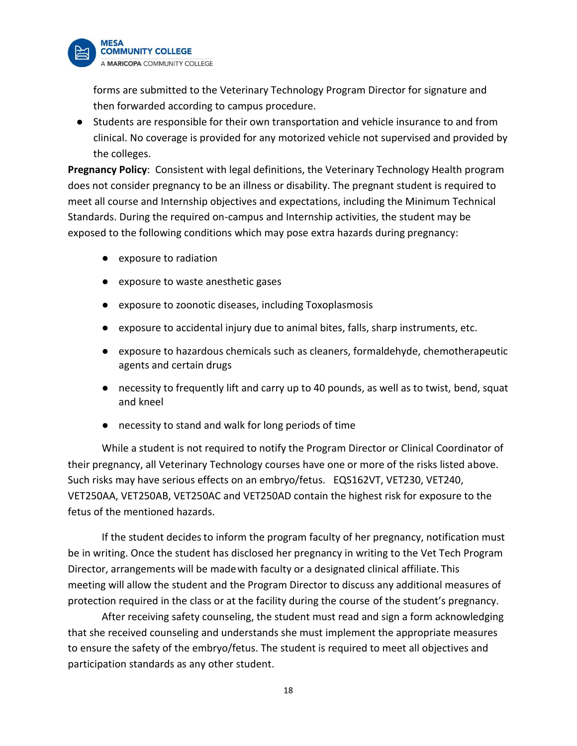

forms are submitted to the Veterinary Technology Program Director for signature and then forwarded according to campus procedure.

● Students are responsible for their own transportation and vehicle insurance to and from clinical. No coverage is provided for any motorized vehicle not supervised and provided by the colleges.

**Pregnancy Policy**: Consistent with legal definitions, the Veterinary Technology Health program does not consider pregnancy to be an illness or disability. The pregnant student is required to meet all course and Internship objectives and expectations, including the Minimum Technical Standards. During the required on-campus and Internship activities, the student may be exposed to the following conditions which may pose extra hazards during pregnancy:

- exposure to radiation
- exposure to waste anesthetic gases
- exposure to zoonotic diseases, including Toxoplasmosis
- exposure to accidental injury due to animal bites, falls, sharp instruments, etc.
- exposure to hazardous chemicals such as cleaners, formaldehyde, chemotherapeutic agents and certain drugs
- necessity to frequently lift and carry up to 40 pounds, as well as to twist, bend, squat and kneel
- necessity to stand and walk for long periods of time

While a student is not required to notify the Program Director or Clinical Coordinator of their pregnancy, all Veterinary Technology courses have one or more of the risks listed above. Such risks may have serious effects on an embryo/fetus. EQS162VT, VET230, VET240, VET250AA, VET250AB, VET250AC and VET250AD contain the highest risk for exposure to the fetus of the mentioned hazards.

If the student decidesto inform the program faculty of her pregnancy, notification must be in writing. Once the student has disclosed her pregnancy in writing to the Vet Tech Program Director, arrangements will be madewith faculty or a designated clinical affiliate. This meeting will allow the student and the Program Director to discuss any additional measures of protection required in the class or at the facility during the course of the student's pregnancy.

After receiving safety counseling, the student must read and sign a form acknowledging that she received counseling and understands she must implement the appropriate measures to ensure the safety of the embryo/fetus. The student is required to meet all objectives and participation standards as any other student.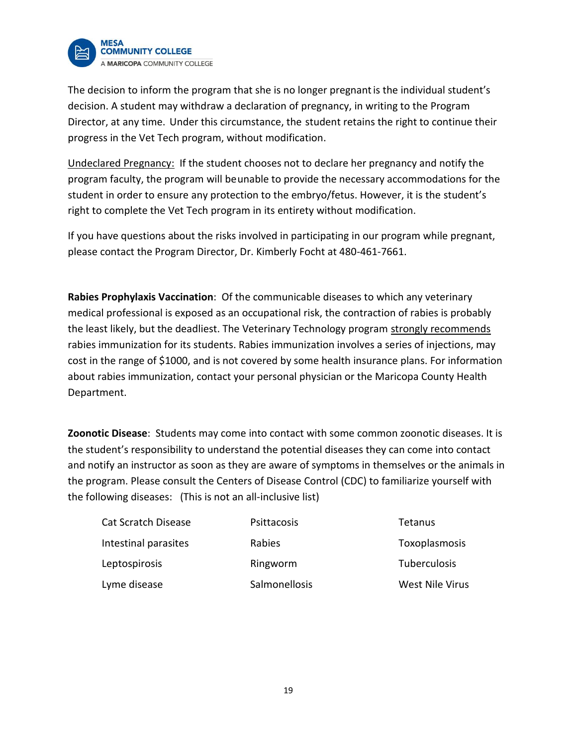

The decision to inform the program that she is no longer pregnantis the individual student's decision. A student may withdraw a declaration of pregnancy, in writing to the Program Director, at any time. Under this circumstance, the student retains the right to continue their progress in the Vet Tech program, without modification.

Undeclared Pregnancy: If the student chooses not to declare her pregnancy and notify the program faculty, the program will beunable to provide the necessary accommodations for the student in order to ensure any protection to the embryo/fetus. However, it is the student's right to complete the Vet Tech program in its entirety without modification.

If you have questions about the risks involved in participating in our program while pregnant, please contact the Program Director, Dr. Kimberly Focht at 480-461-7661.

**Rabies Prophylaxis Vaccination**: Of the communicable diseases to which any veterinary medical professional is exposed as an occupational risk, the contraction of rabies is probably the least likely, but the deadliest. The Veterinary Technology program strongly recommends rabies immunization for its students. Rabies immunization involves a series of injections, may cost in the range of \$1000, and is not covered by some health insurance plans. For information about rabies immunization, contact your personal physician or the Maricopa County Health Department.

**Zoonotic Disease**: Students may come into contact with some common zoonotic diseases. It is the student's responsibility to understand the potential diseases they can come into contact and notify an instructor as soon as they are aware of symptoms in themselves or the animals in the program. Please consult the Centers of Disease Control (CDC) to familiarize yourself with the following diseases: (This is not an all-inclusive list)

| <b>Cat Scratch Disease</b> | Psittacosis   | Tetanus                |
|----------------------------|---------------|------------------------|
| Intestinal parasites       | Rabies        | Toxoplasmosis          |
| Leptospirosis              | Ringworm      | <b>Tuberculosis</b>    |
| Lyme disease               | Salmonellosis | <b>West Nile Virus</b> |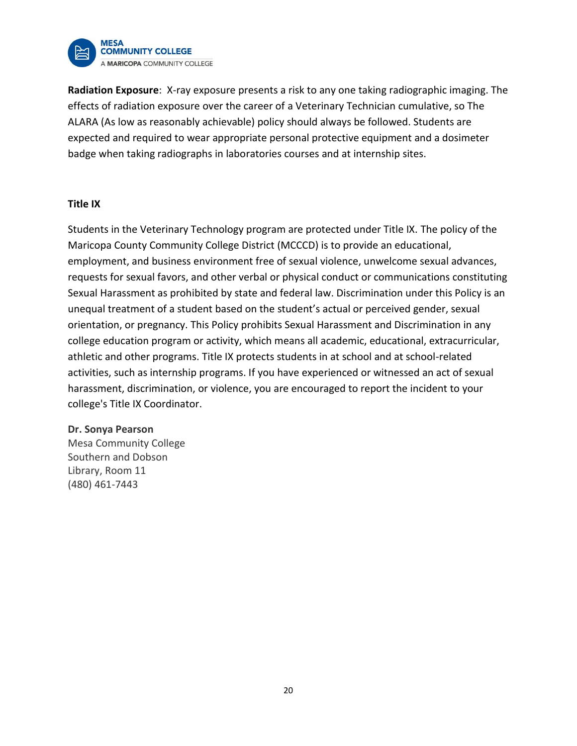

**Radiation Exposure**: X-ray exposure presents a risk to any one taking radiographic imaging. The effects of radiation exposure over the career of a Veterinary Technician cumulative, so The ALARA (As low as reasonably achievable) policy should always be followed. Students are expected and required to wear appropriate personal protective equipment and a dosimeter badge when taking radiographs in laboratories courses and at internship sites.

#### **Title IX**

Students in the Veterinary Technology program are protected under Title IX. The policy of the Maricopa County Community College District (MCCCD) is to provide an educational, employment, and business environment free of sexual violence, unwelcome sexual advances, requests for sexual favors, and other verbal or physical conduct or communications constituting Sexual Harassment as prohibited by state and federal law. Discrimination under this Policy is an unequal treatment of a student based on the student's actual or perceived gender, sexual orientation, or pregnancy. This Policy prohibits Sexual Harassment and Discrimination in any college education program or activity, which means all academic, educational, extracurricular, athletic and other programs. Title IX protects students in at school and at school-related activities, such as internship programs. If you have experienced or witnessed an act of sexual harassment, discrimination, or violence, you are encouraged to report the incident to your college's Title IX Coordinator.

#### **Dr. Sonya Pearson**

Mesa Community College Southern and Dobson Library, Room 11 (480) 461-7443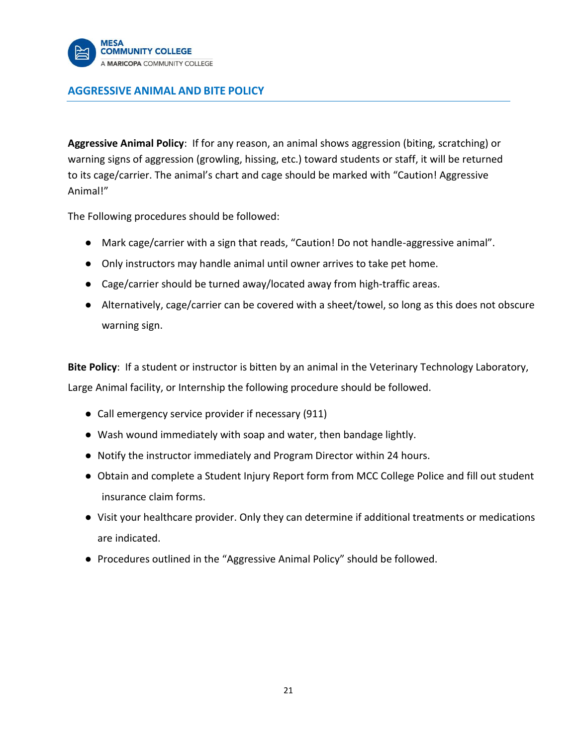

## **AGGRESSIVE ANIMAL AND BITE POLICY**

**Aggressive Animal Policy**: If for any reason, an animal shows aggression (biting, scratching) or warning signs of aggression (growling, hissing, etc.) toward students or staff, it will be returned to its cage/carrier. The animal's chart and cage should be marked with "Caution! Aggressive Animal!"

The Following procedures should be followed:

- Mark cage/carrier with a sign that reads, "Caution! Do not handle-aggressive animal".
- Only instructors may handle animal until owner arrives to take pet home.
- Cage/carrier should be turned away/located away from high-traffic areas.
- Alternatively, cage/carrier can be covered with a sheet/towel, so long as this does not obscure warning sign.

**Bite Policy**: If a student or instructor is bitten by an animal in the Veterinary Technology Laboratory, Large Animal facility, or Internship the following procedure should be followed.

- Call emergency service provider if necessary (911)
- Wash wound immediately with soap and water, then bandage lightly.
- Notify the instructor immediately and Program Director within 24 hours.
- Obtain and complete a Student Injury Report form from MCC College Police and fill out student insurance claim forms.
- Visit your healthcare provider. Only they can determine if additional treatments or medications are indicated.
- Procedures outlined in the "Aggressive Animal Policy" should be followed.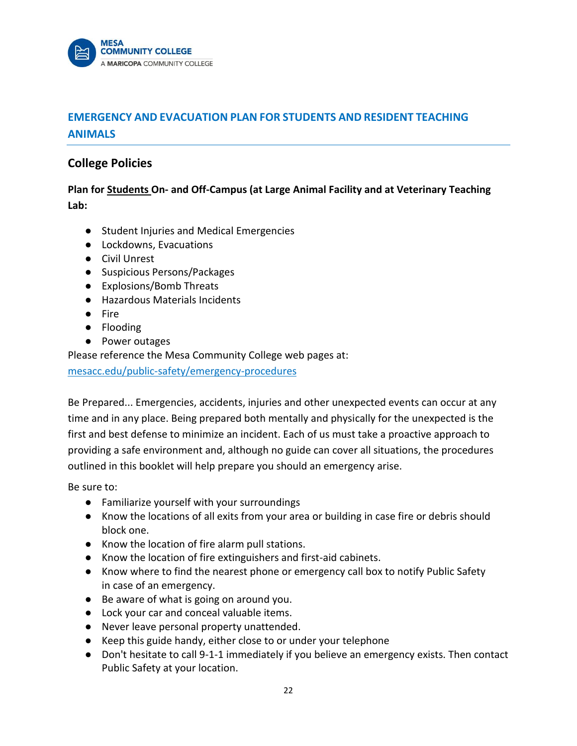

# **EMERGENCY AND EVACUATION PLAN FOR STUDENTS AND RESIDENT TEACHING ANIMALS**

## **College Policies**

**Plan for Students On- and Off-Campus (at Large Animal Facility and at Veterinary Teaching Lab:**

- Student Injuries and Medical Emergencies
- Lockdowns, Evacuations
- Civil Unrest
- Suspicious Persons/Packages
- Explosions/Bomb Threats
- Hazardous Materials Incidents
- Fire
- Flooding
- Power outages

Please reference the Mesa Community College web pages at: [mesacc.edu/public-safety/emergency-procedures](http://www.mesacc.edu/public-safety/emergency-procedures#phone)

Be Prepared... Emergencies, accidents, injuries and other unexpected events can occur at any time and in any place. Being prepared both mentally and physically for the unexpected is the first and best defense to minimize an incident. Each of us must take a proactive approach to providing a safe environment and, although no guide can cover all situations, the procedures outlined in this booklet will help prepare you should an emergency arise.

Be sure to:

- Familiarize yourself with your surroundings
- Know the locations of all exits from your area or building in case fire or debris should block one.
- Know the location of fire alarm pull stations.
- Know the location of fire extinguishers and first-aid cabinets.
- Know where to find the nearest phone or emergency call box to notify Public Safety in case of an emergency.
- Be aware of what is going on around you.
- Lock your car and conceal valuable items.
- Never leave personal property unattended.
- Keep this guide handy, either close to or under your telephone
- Don't hesitate to call 9-1-1 immediately if you believe an emergency exists. Then contact Public Safety at your location.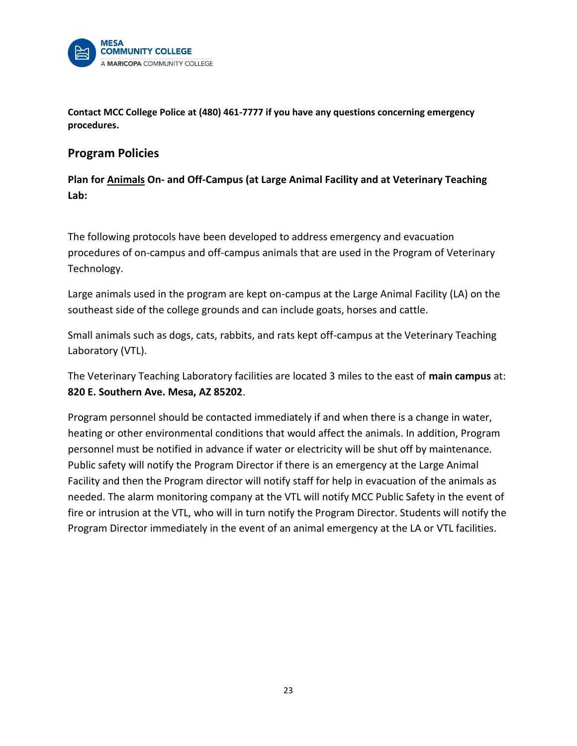

**Contact MCC College Police at (480) 461-7777 if you have any questions concerning emergency procedures.**

## **Program Policies**

**Plan for Animals On- and Off-Campus (at Large Animal Facility and at Veterinary Teaching Lab:**

The following protocols have been developed to address emergency and evacuation procedures of on-campus and off-campus animals that are used in the Program of Veterinary Technology.

Large animals used in the program are kept on-campus at the Large Animal Facility (LA) on the southeast side of the college grounds and can include goats, horses and cattle.

Small animals such as dogs, cats, rabbits, and rats kept off-campus at the Veterinary Teaching Laboratory (VTL).

The Veterinary Teaching Laboratory facilities are located 3 miles to the east of **main campus** at: **820 E. Southern Ave. Mesa, AZ 85202**.

Program personnel should be contacted immediately if and when there is a change in water, heating or other environmental conditions that would affect the animals. In addition, Program personnel must be notified in advance if water or electricity will be shut off by maintenance. Public safety will notify the Program Director if there is an emergency at the Large Animal Facility and then the Program director will notify staff for help in evacuation of the animals as needed. The alarm monitoring company at the VTL will notify MCC Public Safety in the event of fire or intrusion at the VTL, who will in turn notify the Program Director. Students will notify the Program Director immediately in the event of an animal emergency at the LA or VTL facilities.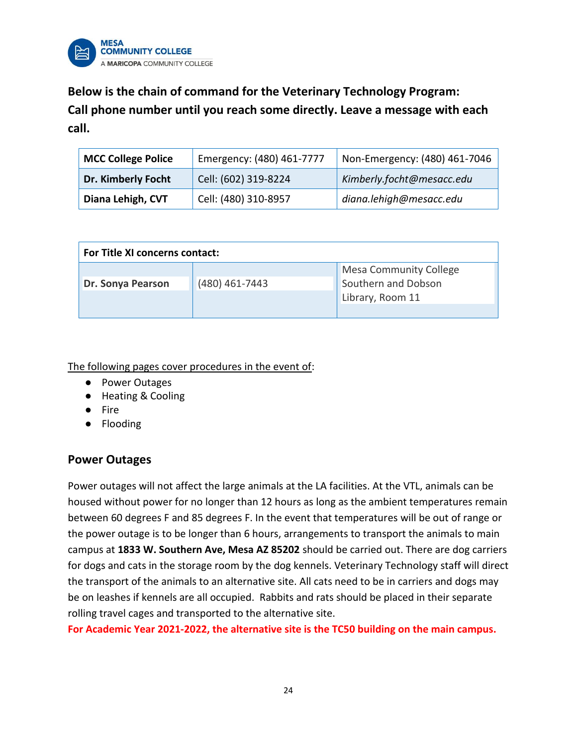

**Below is the chain of command for the Veterinary Technology Program: Call phone number until you reach some directly. Leave a message with each call.**

| <b>MCC College Police</b> | Emergency: (480) 461-7777 | Non-Emergency: (480) 461-7046 |
|---------------------------|---------------------------|-------------------------------|
| Dr. Kimberly Focht        | Cell: (602) 319-8224      | Kimberly.focht@mesacc.edu     |
| Diana Lehigh, CVT         | Cell: (480) 310-8957      | diana.lehigh@mesacc.edu       |

| <b>For Title XI concerns contact:</b> |                |                               |  |  |
|---------------------------------------|----------------|-------------------------------|--|--|
|                                       |                | <b>Mesa Community College</b> |  |  |
| <b>Dr. Sonya Pearson</b>              | (480) 461-7443 | Southern and Dobson           |  |  |
|                                       |                | Library, Room 11              |  |  |
|                                       |                |                               |  |  |

The following pages cover procedures in the event of:

- Power Outages
- Heating & Cooling
- Fire
- Flooding

## **Power Outages**

Power outages will not affect the large animals at the LA facilities. At the VTL, animals can be housed without power for no longer than 12 hours as long as the ambient temperatures remain between 60 degrees F and 85 degrees F. In the event that temperatures will be out of range or the power outage is to be longer than 6 hours, arrangements to transport the animals to main campus at **1833 W. Southern Ave, Mesa AZ 85202** should be carried out. There are dog carriers for dogs and cats in the storage room by the dog kennels. Veterinary Technology staff will direct the transport of the animals to an alternative site. All cats need to be in carriers and dogs may be on leashes if kennels are all occupied. Rabbits and rats should be placed in their separate rolling travel cages and transported to the alternative site.

**For Academic Year 2021-2022, the alternative site is the TC50 building on the main campus.**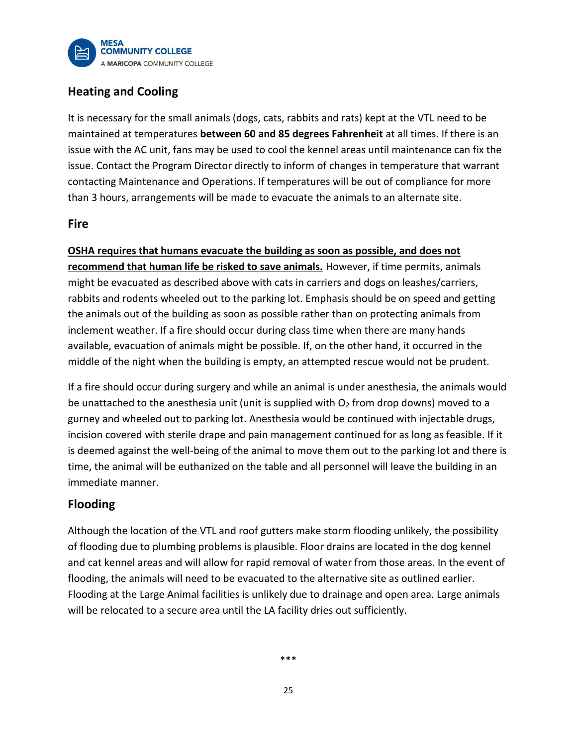

# **Heating and Cooling**

It is necessary for the small animals (dogs, cats, rabbits and rats) kept at the VTL need to be maintained at temperatures **between 60 and 85 degrees Fahrenheit** at all times. If there is an issue with the AC unit, fans may be used to cool the kennel areas until maintenance can fix the issue. Contact the Program Director directly to inform of changes in temperature that warrant contacting Maintenance and Operations. If temperatures will be out of compliance for more than 3 hours, arrangements will be made to evacuate the animals to an alternate site.

## **Fire**

**OSHA requires that humans evacuate the building as soon as possible, and does not recommend that human life be risked to save animals.** However, if time permits, animals might be evacuated as described above with cats in carriers and dogs on leashes/carriers, rabbits and rodents wheeled out to the parking lot. Emphasis should be on speed and getting the animals out of the building as soon as possible rather than on protecting animals from inclement weather. If a fire should occur during class time when there are many hands available, evacuation of animals might be possible. If, on the other hand, it occurred in the middle of the night when the building is empty, an attempted rescue would not be prudent.

If a fire should occur during surgery and while an animal is under anesthesia, the animals would be unattached to the anesthesia unit (unit is supplied with  $O_2$  from drop downs) moved to a gurney and wheeled out to parking lot. Anesthesia would be continued with injectable drugs, incision covered with sterile drape and pain management continued for as long as feasible. If it is deemed against the well-being of the animal to move them out to the parking lot and there is time, the animal will be euthanized on the table and all personnel will leave the building in an immediate manner.

# **Flooding**

Although the location of the VTL and roof gutters make storm flooding unlikely, the possibility of flooding due to plumbing problems is plausible. Floor drains are located in the dog kennel and cat kennel areas and will allow for rapid removal of water from those areas. In the event of flooding, the animals will need to be evacuated to the alternative site as outlined earlier. Flooding at the Large Animal facilities is unlikely due to drainage and open area. Large animals will be relocated to a secure area until the LA facility dries out sufficiently.

\*\*\*

25